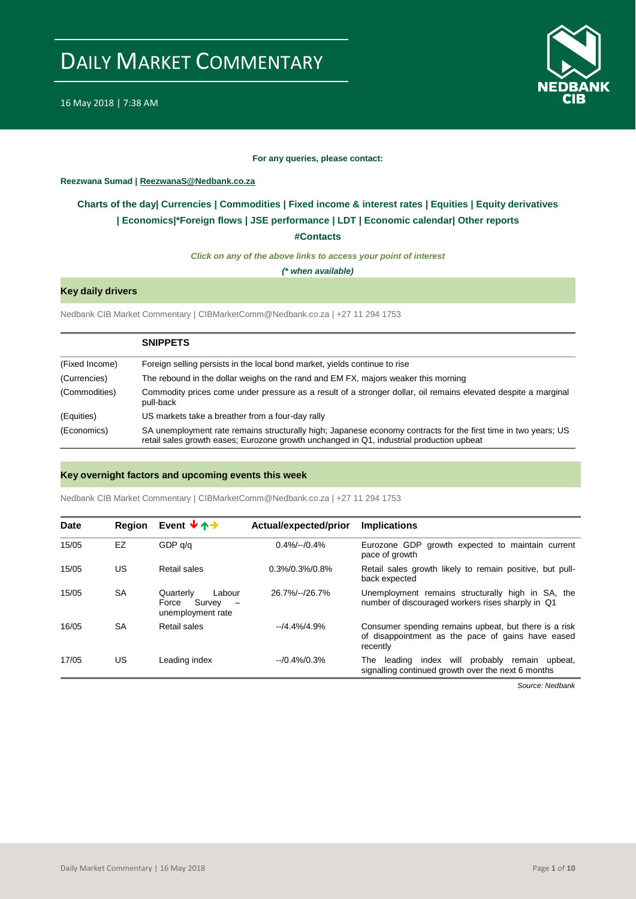

#### **For any queries, please contact:**

#### <span id="page-0-0"></span>**Reezwana Sumad | ReezwanaS@Nedbank.co.za**

### **Charts of the day| [Currencies](#page-2-0) [| Commodities](#page-3-0) | [Fixed income &](#page-1-0) interest rates | [Equities](#page-4-0) | Equity derivatives | [Economics|\\*](#page-6-0)Foreign flows [| JSE performance](#page-4-1) | LDT | [Economic calendar|](#page-7-0) Other reports**

**[#Contacts](#page-8-0)**

*Click on any of the above links to access your point of interest*

*(\* when available)*

### **Key daily drivers**

Nedbank CIB Market Commentary | CIBMarketComm@Nedbank.co.za | +27 11 294 1753

|                | <b>SNIPPETS</b>                                                                                                                                                                                            |
|----------------|------------------------------------------------------------------------------------------------------------------------------------------------------------------------------------------------------------|
| (Fixed Income) | Foreign selling persists in the local bond market, yields continue to rise                                                                                                                                 |
| (Currencies)   | The rebound in the dollar weighs on the rand and EM FX, majors weaker this morning                                                                                                                         |
| (Commodities)  | Commodity prices come under pressure as a result of a stronger dollar, oil remains elevated despite a marginal<br>pull-back                                                                                |
| (Equities)     | US markets take a breather from a four-day rally                                                                                                                                                           |
| (Economics)    | SA unemployment rate remains structurally high; Japanese economy contracts for the first time in two years; US<br>retail sales growth eases; Eurozone growth unchanged in Q1, industrial production upbeat |

#### **Key overnight factors and upcoming events this week**

Nedbank CIB Market Commentary | CIBMarketComm@Nedbank.co.za | +27 11 294 1753

| <b>Date</b> | <b>Region</b> | Event $\forall$ $\uparrow$ $\rightarrow$                      | Actual/expected/prior | <b>Implications</b>                                                                                                    |
|-------------|---------------|---------------------------------------------------------------|-----------------------|------------------------------------------------------------------------------------------------------------------------|
| 15/05       | <b>EZ</b>     | GDP q/q                                                       | $0.4\%/-/0.4\%$       | Eurozone GDP growth expected to maintain current<br>pace of growth                                                     |
| 15/05       | US            | Retail sales                                                  | $0.3\%/0.3\%/0.8\%$   | Retail sales growth likely to remain positive, but pull-<br>back expected                                              |
| 15/05       | <b>SA</b>     | Labour<br>Quarterly<br>Survey -<br>Force<br>unemployment rate | 26.7%/--/26.7%        | Unemployment remains structurally high in SA, the<br>number of discouraged workers rises sharply in Q1                 |
| 16/05       | SA            | Retail sales                                                  | $-14.4\%/4.9\%$       | Consumer spending remains upbeat, but there is a risk<br>of disappointment as the pace of gains have eased<br>recently |
| 17/05       | US            | Leading index                                                 | $-10.4\%/0.3\%$       | probably<br>index will<br>remain upbeat,<br>The<br>leading<br>signalling continued growth over the next 6 months       |

*Source: Nedbank*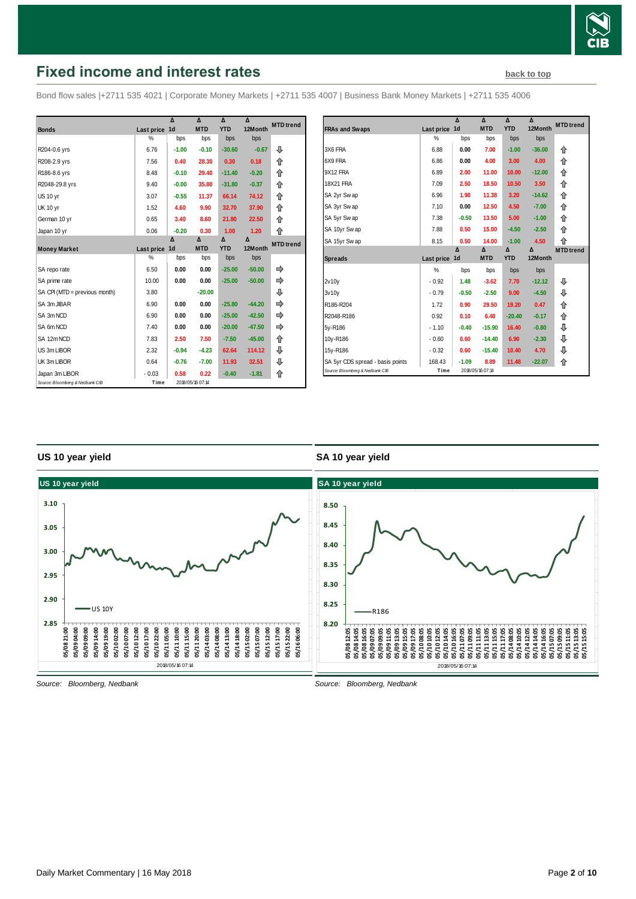

# <span id="page-1-0"></span>**Fixed income and interest rates [back to top](#page-0-0) back to top**

Bond flow sales |+2711 535 4021 | Corporate Money Markets | +2711 535 4007 | Business Bank Money Markets | +2711 535 4006

|                                 |            | Δ              | Δ                | Δ          | Δ        | <b>MTD</b> trend |
|---------------------------------|------------|----------------|------------------|------------|----------|------------------|
| <b>Bonds</b>                    | Last price | 1 <sub>d</sub> | <b>MTD</b>       | <b>YTD</b> | 12Month  |                  |
|                                 | %          | bps            | bps              | bps        | bps      |                  |
| R204-0.6 yrs                    | 6.76       | $-1.00$        | $-0.10$          | $-30.60$   | $-0.67$  | ⊕                |
| R208-2.9 yrs                    | 7.56       | 0.40           | 28.30            | 0.30       | 0.18     | 企                |
| R186-8.6 yrs                    | 8.48       | $-0.10$        | 29.40            | $-11.40$   | $-0.20$  | 合                |
| R2048-29.8 yrs                  | 9.40       | $-0.00$        | 35.80            | $-31.80$   | $-0.37$  | 合                |
| <b>US 10 yr</b>                 | 3.07       | $-0.55$        | 11.37            | 66.14      | 74.12    | 合                |
| <b>UK 10 yr</b>                 | 1.52       | 4.60           | 9.90             | 32.70      | 37.90    | 企                |
| German 10 yr                    | 0.65       | 3.40           | 8.60             | 21.80      | 22.50    | 企                |
| Japan 10 yr                     | 0.06       | $-0.20$        | 0.30             | 1.00       | 1.20     | ⇑                |
|                                 |            | Δ              | Δ                | Δ          | Δ        | <b>MTD</b> trend |
| <b>Money Market</b>             | Last price | 1 <sub>d</sub> | <b>MTD</b>       | <b>YTD</b> | 12Month  |                  |
|                                 | %          | bps            | bps              | bps        | bps      |                  |
| SA repo rate                    | 6.50       | 0.00           | 0.00             | $-25.00$   | $-50.00$ |                  |
| SA prime rate                   | 10.00      | 0.00           | 0.00             | $-25.00$   | $-50.00$ |                  |
| SA CPI (MTD = previous month)   | 3.80       |                | $-20.00$         |            |          | ⊕                |
| SA 3m JIBAR                     | 6.90       | 0.00           | 0.00             | $-25.80$   | $-44.20$ |                  |
| SA 3m NCD                       | 6.90       | 0.00           | 0.00             | $-25.00$   | $-42.50$ |                  |
| SA 6m NCD                       | 7.40       | 0.00           | 0.00             | $-20.00$   | $-47.50$ |                  |
| SA 12m NCD                      | 7.83       | 2.50           | 7.50             | $-7.50$    | $-45.00$ | 合                |
| US 3m LIBOR                     | 2.32       | $-0.94$        | $-4.23$          | 62.64      | 114.12   | ⊕                |
| UK 3m LIBOR                     | 0.64       | $-0.76$        | $-7.00$          | 11.93      | 32.51    | ⊕                |
| Japan 3m LIBOR                  | $-0.03$    | 0.58           | 0.22             | $-0.40$    | $-1.81$  | ⇑                |
| Source: Bloomberg & Nedbank CIB | Time       |                | 2018/05/16 07:14 |            |          |                  |

|                                  |            | Δ              | Δ          | Δ          | Δ        | <b>MTD</b> trend |
|----------------------------------|------------|----------------|------------|------------|----------|------------------|
| <b>FRAs and Swaps</b>            | Last price | 1 <sub>d</sub> | <b>MTD</b> | <b>YTD</b> | 12Month  |                  |
|                                  | $\%$       | bps            | bps        | bps        | bps      |                  |
| 3X6 FRA                          | 6.88       | 0.00           | 7.00       | $-1.00$    | $-36.00$ | 企                |
| 6X9 FRA                          | 6.86       | 0.00           | 4.00       | 3.00       | 4.00     | ⇑                |
| 9X12 FRA                         | 6.89       | 2.00           | 11.00      | 10.00      | $-12.00$ | ⇑                |
| 18X21 FRA                        | 7.09       | 2.50           | 18.50      | 10.50      | 3.50     | ⇑                |
| SA 2yr Swap                      | 6.96       | 1.98           | 11.38      | 3.20       | $-14.62$ | 合                |
| SA 3yr Swap                      | 7.10       | 0.00           | 12.50      | 4.50       | $-7.00$  | 企                |
| SA 5yr Swap                      | 7.38       | $-0.50$        | 13.50      | 5.00       | $-1.00$  | 企                |
| SA 10yr Swap                     | 7.88       | 0.50           | 15.00      | $-4.50$    | $-2.50$  | ⇑                |
| SA 15yr Swap                     | 8.15       | 0.50           | 14.00      | $-1.00$    | 4.50     | ⇑                |
|                                  |            | Δ              | Δ          | Δ          | Δ        | <b>MTD</b> trend |
| <b>Spreads</b>                   | Last price | 1d             | <b>MTD</b> | <b>YTD</b> | 12Month  |                  |
|                                  | %          | bps            | bps        | bps        | bps      |                  |
| 2v10v                            | $-0.92$    | 1.48           | $-3.62$    | 7.70       | $-12.12$ | ⊕                |
| 3v10v                            | $-0.79$    | $-0.50$        | $-2.50$    | 9.00       | $-4.50$  | ⊕                |
| R186-R204                        | 1.72       | 0.90           | 29.50      | 19.20      | 0.47     | ⇑                |
| R2048-R186                       | 0.92       | 0.10           | 6.40       | $-20.40$   | $-0.17$  | ⇑                |
| 5y-R186                          | $-1.10$    | $-0.40$        | $-15.90$   | 16.40      | $-0.80$  | ⊕                |
|                                  |            |                |            |            |          |                  |
| 10y-R186                         | $-0.60$    | 0.60           | $-14.40$   | 6.90       | $-2.30$  | ⊕                |
| 15y-R186                         | $-0.32$    | 0.60           | $-15.40$   | 10.40      | 4.70     | ⊕                |
| SA 5yr CDS spread - basis points | 168.43     | $-1.09$        | 8.89       | 11.48      | $-22.07$ | 合                |

#### **US 10 year yield**

#### **SA 10 year yield**

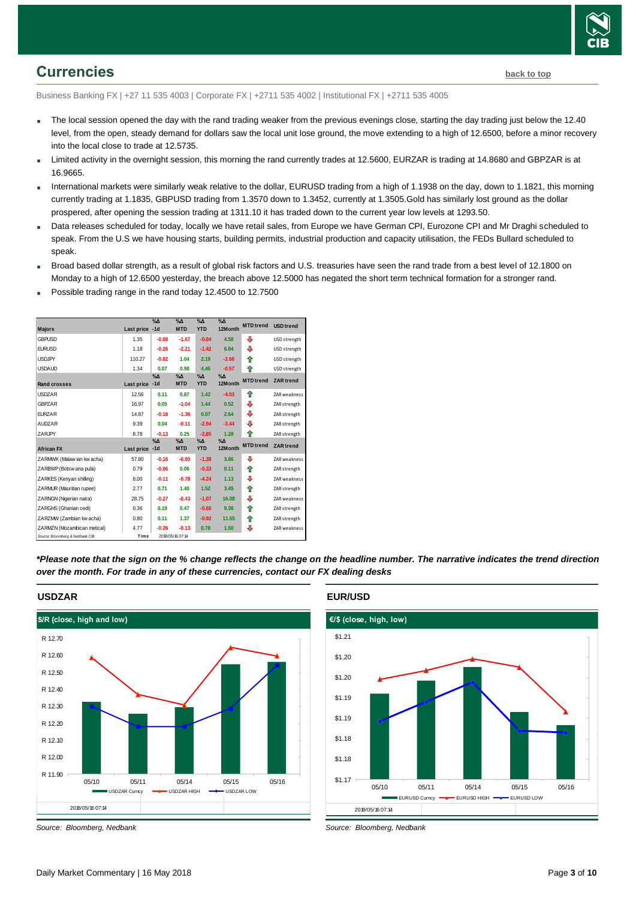

### <span id="page-2-0"></span>**Currencies [back to top](#page-0-0)**

Business Banking FX | +27 11 535 4003 | Corporate FX | +2711 535 4002 | Institutional FX | +2711 535 4005

- The local session opened the day with the rand trading weaker from the previous evenings close, starting the day trading just below the 12.40 level, from the open, steady demand for dollars saw the local unit lose ground, the move extending to a high of 12.6500, before a minor recovery into the local close to trade at 12.5735.
- Limited activity in the overnight session, this morning the rand currently trades at 12.5600, EURZAR is trading at 14.8680 and GBPZAR is at 16.9665.
- International markets were similarly weak relative to the dollar, EURUSD trading from a high of 1.1938 on the day, down to 1.1821, this morning currently trading at 1.1835, GBPUSD trading from 1.3570 down to 1.3452, currently at 1.3505.Gold has similarly lost ground as the dollar prospered, after opening the session trading at 1311.10 it has traded down to the current year low levels at 1293.50.
- Data releases scheduled for today, locally we have retail sales, from Europe we have German CPI, Eurozone CPI and Mr Draghi scheduled to speak. From the U.S we have housing starts, building permits, industrial production and capacity utilisation, the FEDs Bullard scheduled to speak.
- Broad based dollar strength, as a result of global risk factors and U.S. treasuries have seen the rand trade from a best level of 12.1800 on Monday to a high of 12.6500 yesterday, the breach above 12.5000 has negated the short term technical formation for a stronger rand.
- Possible trading range in the rand today 12.4500 to 12.7500

|                                 |            | $\%$ $\Delta$          | $\%$ $\Delta$               | $\%$ $\Delta$               | $\%$ $\Delta$          | <b>MTD</b> trend | <b>USD</b> trend    |
|---------------------------------|------------|------------------------|-----------------------------|-----------------------------|------------------------|------------------|---------------------|
| <b>Majors</b>                   | Last price | $-1d$                  | <b>MTD</b>                  | <b>YTD</b>                  | 12Month                |                  |                     |
| <b>GBPUSD</b>                   | 1.35       | $-0.08$                | $-1.87$                     | $-0.04$                     | 4.58                   | ⊕                | USD strength        |
| <b>EURUSD</b>                   | 1.18       | $-0.26$                | $-2.21$                     | $-1.42$                     | 6.84                   | ⊕                | USD strength        |
| <b>USDJPY</b>                   | 110.27     | $-0.02$                | 1.04                        | 2.19                        | $-2.68$                | ♠                | USD strength        |
| <b>USDAUD</b>                   | 1.34       | 0.07                   | 0.98                        | 4.46                        | $-0.57$                | ⇑                | USD strength        |
| <b>Rand crosses</b>             | Last price | $\%$ $\Delta$<br>$-1d$ | $\%$ $\Delta$<br><b>MTD</b> | $\%$ $\Delta$<br><b>YTD</b> | $\% \Delta$<br>12Month | <b>MTD</b> trend | <b>ZAR</b> trend    |
| <b>USDZAR</b>                   | 12.56      | 0.11                   | 0.87                        | 1.42                        | $-4.03$                | ♠                | <b>ZAR</b> weakness |
| <b>GBPZAR</b>                   | 16.97      | 0.05                   | $-1.04$                     | 1.44                        | 0.52                   | ⊕                | ZAR strength        |
| <b>EURZAR</b>                   | 14.87      | $-0.16$                | $-1.36$                     | 0.07                        | 2.64                   | ⊕                | ZAR strength        |
| <b>AUDZAR</b>                   | 9.39       | 0.04                   | $-0.11$                     | $-2.94$                     | $-3.44$                | ⊕                | ZAR strength        |
| ZARJPY                          | 8.78       | $-0.13$                | 0.25                        | $-2.85$                     | 1.28                   | ♠                | ZAR strength        |
|                                 |            | $\%$ $\Delta$          | $\%$ $\Delta$               | $\% \Delta$                 | %Δ                     | <b>MTD</b> trend | <b>ZAR</b> trend    |
| <b>African FX</b>               | Last price | $-1d$                  | <b>MTD</b>                  | <b>YTD</b>                  | 12Month                |                  |                     |
| ZARMWK (Malaw ian kw acha)      | 57.80      | $-0.16$                | $-0.80$                     | $-1.38$                     | 3.86                   | ⊕                | <b>ZAR</b> weakness |
| ZARBWP (Botsw ana pula)         | 0.79       | $-0.06$                | 0.06                        | $-0.33$                     | 0.11                   | ♠                | ZAR strength        |
| ZARKES (Kenyan shilling)        | 8.00       | $-0.11$                | $-0.78$                     | $-4.24$                     | 1.13                   | ⇩                | <b>ZAR</b> weakness |
| ZARMUR (Mauritian rupee)        | 2.77       | 0.71                   | 1.40                        | 1.52                        | 3.45                   | ♠                | ZAR strength        |
| ZARNGN (Nigerian naira)         | 28.75      | $-0.27$                | $-0.43$                     | $-1.07$                     | 16.08                  | ⇩                | ZAR weakness        |
| ZARGHS (Ghanian cedi)           | 0.36       | 0.19                   | 0.47                        | $-0.66$                     | 9.36                   | ⇑                | ZAR strength        |
| ZARZMW (Zambian kw acha)        | 0.80       | 0.11                   | 1.37                        | $-0.92$                     | 11.55                  | 合                | ZAR strength        |
| ZARMZN (Mozambican metical)     | 4.77       | $-0.26$                | $-0.13$                     | 0.78                        | 1.50                   | ⊕                | ZAR weakness        |
| Source: Bloomberg & Nedbank CIB | Time       |                        | 2018/05/16 07:14            |                             |                        |                  |                     |

*\*Please note that the sign on the % change reflects the change on the headline number. The narrative indicates the trend direction over the month. For trade in any of these currencies, contact our FX dealing desks*



**USDZAR**

*Source: Bloomberg, Nedbank*





*Source: Bloomberg, Nedbank*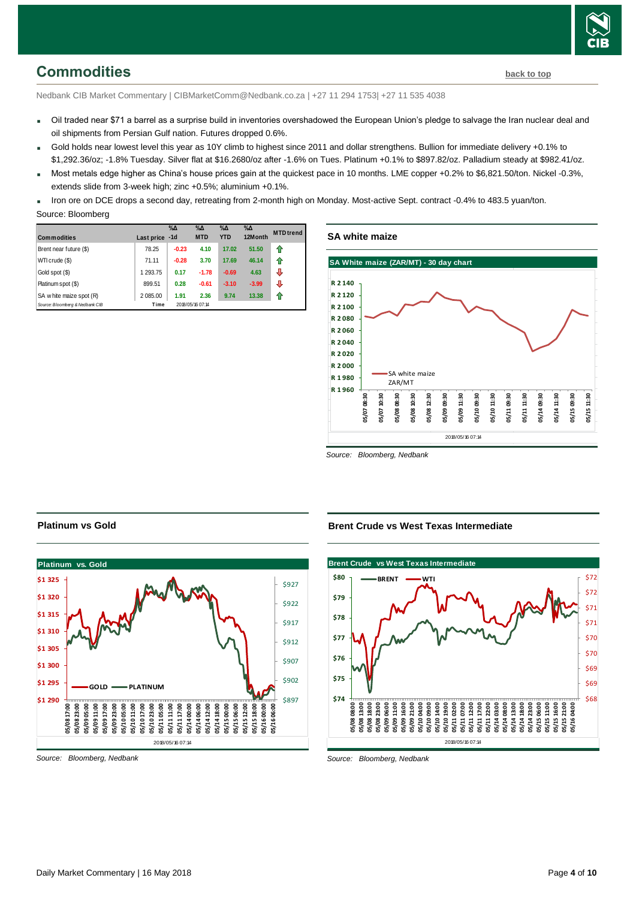# <span id="page-3-0"></span>**Commodities [back to top](#page-0-0)**

Nedbank CIB Market Commentary | CIBMarketComm@Nedbank.co.za | +27 11 294 1753| +27 11 535 4038

- Oil traded near \$71 a barrel as a surprise build in inventories overshadowed the European Union's pledge to salvage the Iran nuclear deal and oil shipments from Persian Gulf nation. Futures dropped 0.6%.
- Gold holds near lowest level this year as 10Y climb to highest since 2011 and dollar strengthens. Bullion for immediate delivery +0.1% to \$1,292.36/oz; -1.8% Tuesday. Silver flat at \$16.2680/oz after -1.6% on Tues. Platinum +0.1% to \$897.82/oz. Palladium steady at \$982.41/oz.
- Most metals edge higher as China's house prices gain at the quickest pace in 10 months. LME copper +0.2% to \$6,821.50/ton. Nickel -0.3%, extends slide from 3-week high; zinc +0.5%; aluminium +0.1%.

 Iron ore on DCE drops a second day, retreating from 2-month high on Monday. Most-active Sept. contract -0.4% to 483.5 yuan/ton. Source: Bloomberg

| <b>Commodities</b>              | Last price -1d | $\%$ $\Delta$ | $\%$ $\Delta$<br><b>MTD</b> | $% \Delta$<br><b>YTD</b> | $\%$ $\Delta$<br>12Month | <b>MTD</b> trend |
|---------------------------------|----------------|---------------|-----------------------------|--------------------------|--------------------------|------------------|
| Brent near future (\$)          | 78.25          | $-0.23$       | 4.10                        | 17.02                    | 51.50                    | ⇑                |
| WTI crude (\$)                  | 71.11          | $-0.28$       | 3.70                        | 17.69                    | 46.14                    | ⇑                |
| Gold spot (\$)                  | 1 293.75       | 0.17          | $-1.78$                     | $-0.69$                  | 4.63                     | ⊕                |
| Platinum spot (\$)              | 899.51         | 0.28          | $-0.61$                     | $-3.10$                  | $-3.99$                  | ⊕                |
| SA w hite maize spot (R)        | 2 085.00       | 1.91          | 2.36                        | 9.74                     | 13.38                    | ⇑                |
| Source: Bloomberg & Nedbank CIB | Time           |               | 2018/05/16 07:14            |                          |                          |                  |

#### **SA white maize**



*Source: Bloomberg, Nedbank*

#### **Platinum vs Gold**



*Source: Bloomberg, Nedbank*

#### **Brent Crude vs West Texas Intermediate**



*Source: Bloomberg, Nedbank*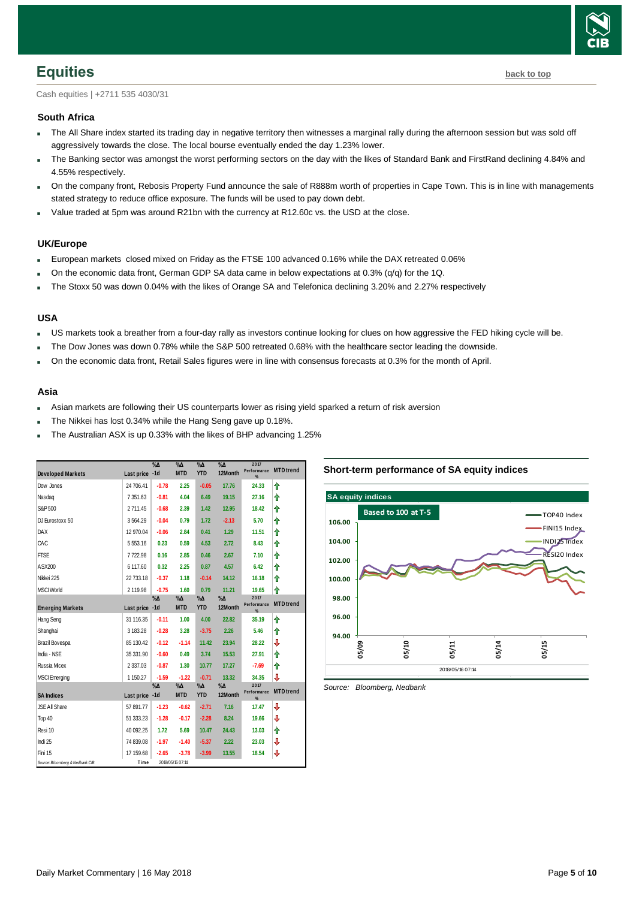

<span id="page-4-0"></span>Cash equities | +2711 535 4030/31

#### **South Africa**

- The All Share index started its trading day in negative territory then witnesses a marginal rally during the afternoon session but was sold off aggressively towards the close. The local bourse eventually ended the day 1.23% lower.
- The Banking sector was amongst the worst performing sectors on the day with the likes of Standard Bank and FirstRand declining 4.84% and 4.55% respectively.
- On the company front, Rebosis Property Fund announce the sale of R888m worth of properties in Cape Town. This is in line with managements stated strategy to reduce office exposure. The funds will be used to pay down debt.
- Value traded at 5pm was around R21bn with the currency at R12.60c vs. the USD at the close.

#### **UK/Europe**

- European markets closed mixed on Friday as the FTSE 100 advanced 0.16% while the DAX retreated 0.06%
- On the economic data front, German GDP SA data came in below expectations at 0.3% (q/q) for the 1Q.
- The Stoxx 50 was down 0.04% with the likes of Orange SA and Telefonica declining 3.20% and 2.27% respectively

#### **USA**

- US markets took a breather from a four-day rally as investors continue looking for clues on how aggressive the FED hiking cycle will be.
- The Dow Jones was down 0.78% while the S&P 500 retreated 0.68% with the healthcare sector leading the downside.
- On the economic data front, Retail Sales figures were in line with consensus forecasts at 0.3% for the month of April.

#### **Asia**

- Asian markets are following their US counterparts lower as rising yield sparked a return of risk aversion
- The Nikkei has lost 0.34% while the Hang Seng gave up 0.18%.
- The Australian ASX is up 0.33% with the likes of BHP advancing 1.25%

| <b>Developed Markets</b>        | Last price -1d | $\sqrt[9]{\Delta}$ | $\%$ $\Delta$<br><b>MTD</b> | $\sqrt{\Delta}$<br><b>YTD</b> | $\%$ $\Delta$<br>12Month | 2017<br>Performance<br>$\%$ | <b>MTD</b> trend |
|---------------------------------|----------------|--------------------|-----------------------------|-------------------------------|--------------------------|-----------------------------|------------------|
| Dow Jones                       | 24 706.41      | $-0.78$            | 2.25                        | $-0.05$                       | 17.76                    | 24.33                       | ⇑                |
| Nasdag                          | 7 351 63       | $-0.81$            | 4.04                        | 6.49                          | 19.15                    | 27.16                       | ⇑                |
| S&P 500                         | 2711.45        | $-0.68$            | 2.39                        | 1.42                          | 12.95                    | 18.42                       | ⇑                |
| DJ Eurostoxx 50                 | 3564.29        | $-0.04$            | 0.79                        | 1.72                          | $-2.13$                  | 5.70                        | ⇑                |
| <b>DAX</b>                      | 12 970.04      | $-0.06$            | 2.84                        | 0.41                          | 1.29                     | 11.51                       | ⇑                |
| CAC                             | 5553.16        | 0.23               | 0.59                        | 4.53                          | 2.72                     | 8.43                        | ⇑                |
| <b>FTSE</b>                     | 7722.98        | 0.16               | 2.85                        | 0.46                          | 2.67                     | 7.10                        | ⇑                |
| ASX200                          | 6 117.60       | 0.32               | 2.25                        | 0.87                          | 4.57                     | 6.42                        | ⇑                |
| Nikkei 225                      | 22 733.18      | $-0.37$            | 1.18                        | $-0.14$                       | 14.12                    | 16.18                       | ⇑                |
| <b>MSCI World</b>               | 2 119.98       | $-0.75$            | 1.60                        | 0.79                          | 11.21                    | 19.65                       | ⇑                |
| <b>Emerging Markets</b>         | Last price -1d | $\%$ $\Delta$      | $\%$ $\Delta$<br><b>MTD</b> | $\%$ $\Delta$<br><b>YTD</b>   | $\%$ $\Delta$<br>12Month | 2017<br>Performance<br>%    | <b>MTD</b> trend |
| <b>Hang Seng</b>                | 31 116.35      | $-0.11$            | 1.00                        | 4.00                          | 22.82                    | 35.19                       | ⇑                |
| Shanghai                        | 3 183.28       | $-0.28$            | 3.28                        | $-3.75$                       | 2.26                     | 5.46                        | ⇑                |
| Brazil Bovespa                  | 85 130.42      | $-0.12$            | $-1.14$                     | 11.42                         | 23.94                    | 28.22                       | ⇩                |
| India - NSE                     | 35 331.90      | $-0.60$            | 0.49                        | 3.74                          | 15.53                    | 27.91                       | ⇑                |
| <b>Russia Micex</b>             | 2 3 3 7 . 0 3  | $-0.87$            | 1.30                        | 10.77                         | 17.27                    | $-7.69$                     | ⇑                |
| <b>MSCI</b> Emerging            | 1 150.27       | $-1.59$            | $-1.22$                     | $-0.71$                       | 13.32                    | 34.35                       | ⇩                |
|                                 |                | $\%$ $\Delta$      | $\% \Delta$<br><b>MTD</b>   | $\% \Delta$<br><b>YTD</b>     | $\%$ $\Delta$<br>12Month | 2017<br>Performance         | <b>MTD</b> trend |
| <b>SA Indices</b>               | Last price -1d |                    |                             |                               |                          | %                           |                  |
| JSE All Share                   | 57 891.77      | $-1.23$            | $-0.62$                     | $-2.71$                       | 7.16                     | 17.47                       | ⇩                |
| Top 40                          | 51 333.23      | $-1.28$            | $-0.17$                     | $-2.28$                       | 8.24                     | 19.66                       | ⇩                |
| Resi 10                         | 40 092.25      | 1.72               | 5.69                        | 10.47                         | 24.43                    | 13.03                       | ⇑                |
| Indi 25                         | 74 839.08      | $-1.97$            | $-1.40$                     | $-5.37$                       | 2.22                     | 23.03                       | ⇩                |
| Fini 15                         | 17 159.68      | $-2.65$            | $-3.78$                     | $-3.99$                       | 13.55                    | 18.54                       | ⇩                |
| Source: Bloomberg & Nedbank CIB | Time           |                    | 2018/05/16 07:14            |                               |                          |                             |                  |

#### **Short-term performance of SA equity indices**



<span id="page-4-1"></span>*Source: Bloomberg, Nedbank*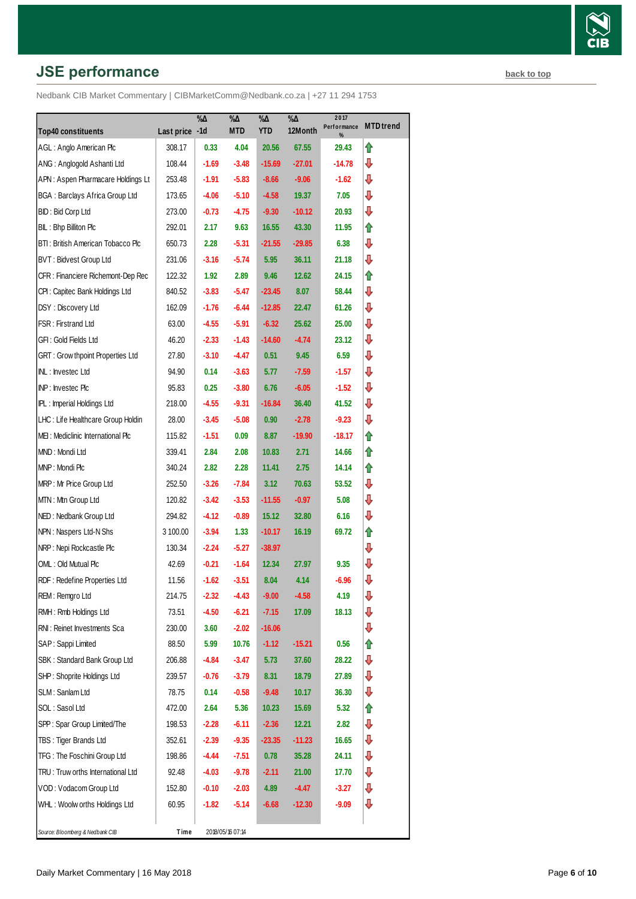# **JSE performance [back to top](#page-0-0) back to top**

|                                       |                | $\% \Delta$ | %Д               | $\% \Delta$ | $\sqrt[9]{6\Delta}$ | 2017<br>Performance | <b>MTD</b> trend |
|---------------------------------------|----------------|-------------|------------------|-------------|---------------------|---------------------|------------------|
| <b>Top40 constituents</b>             | Last price -1d |             | <b>MTD</b>       | <b>YTD</b>  | 12Month             | %                   |                  |
| AGL: Anglo American Plc               | 308.17         | 0.33        | 4.04             | 20.56       | 67.55               | 29.43               | ⇑                |
| ANG: Anglogold Ashanti Ltd            | 108.44         | $-1.69$     | $-3.48$          | $-15.69$    | $-27.01$            | -14.78              | ⇩                |
| APN: Aspen Pharmacare Holdings Lt     | 253.48         | $-1.91$     | $-5.83$          | $-8.66$     | $-9.06$             | -1.62               | ⇩                |
| <b>BGA: Barclays Africa Group Ltd</b> | 173.65         | -4.06       | $-5.10$          | $-4.58$     | 19.37               | 7.05                | ⇩                |
| BID: Bid Corp Ltd                     | 273.00         | $-0.73$     | -4.75            | $-9.30$     | $-10.12$            | 20.93               | ⇩                |
| BIL: Bhp Billiton Plc                 | 292.01         | 2.17        | 9.63             | 16.55       | 43.30               | 11.95               | ⇑                |
| BTI: British American Tobacco Plc     | 650.73         | 2.28        | $-5.31$          | $-21.55$    | $-29.85$            | 6.38                | ⇩                |
| BVT: Bidvest Group Ltd                | 231.06         | $-3.16$     | $-5.74$          | 5.95        | 36.11               | 21.18               | ⇩                |
| CFR : Financiere Richemont-Dep Rec    | 122.32         | 1.92        | 2.89             | 9.46        | 12.62               | 24.15               | ⇑                |
| CPI: Capitec Bank Holdings Ltd        | 840.52         | $-3.83$     | $-5.47$          | $-23.45$    | 8.07                | 58.44               | ⇩                |
| DSY: Discovery Ltd                    | 162.09         | $-1.76$     | $-6.44$          | $-12.85$    | 22.47               | 61.26               | ⇩                |
| FSR: Firstrand Ltd                    | 63.00          | $-4.55$     | $-5.91$          | $-6.32$     | 25.62               | 25.00               | ⇩                |
| GFI : Gold Fields Ltd                 | 46.20          | $-2.33$     | $-1.43$          | $-14.60$    | $-4.74$             | 23.12               | ⇩                |
| GRT: Grow thpoint Properties Ltd      | 27.80          | $-3.10$     | $-4.47$          | 0.51        | 9.45                | 6.59                | ⇩                |
| INL: Investec Ltd                     | 94.90          | 0.14        | $-3.63$          | 5.77        | $-7.59$             | $-1.57$             | ⇩                |
| INP: Investec Plc                     | 95.83          | 0.25        | $-3.80$          | 6.76        | $-6.05$             | $-1.52$             | ⇩                |
| IPL: Imperial Holdings Ltd            | 218.00         | $-4.55$     | $-9.31$          | $-16.84$    | 36.40               | 41.52               | ⊕                |
| LHC: Life Healthcare Group Holdin     | 28.00          | $-3.45$     | $-5.08$          | 0.90        | $-2.78$             | $-9.23$             | ⇩                |
| MEI: Mediclinic International Plc     | 115.82         | $-1.51$     | 0.09             | 8.87        | $-19.90$            | $-18.17$            | ⇑                |
| MND: Mondi Ltd                        | 339.41         | 2.84        | 2.08             | 10.83       | 2.71                | 14.66               | ⇑                |
| MNP: Mondi Plc                        | 340.24         | 2.82        | 2.28             | 11.41       | 2.75                | 14.14               | ⇑                |
| MRP: Mr Price Group Ltd               | 252.50         | $-3.26$     | $-7.84$          | 3.12        | 70.63               | 53.52               | ⇩                |
| MTN: Mtn Group Ltd                    | 120.82         | $-3.42$     | $-3.53$          | $-11.55$    | $-0.97$             | 5.08                | ⇩                |
| NED: Nedbank Group Ltd                | 294.82         | $-4.12$     | $-0.89$          | 15.12       | 32.80               | 6.16                | ⇩                |
| NPN: Naspers Ltd-N Shs                | 3 100.00       | $-3.94$     | 1.33             | $-10.17$    | 16.19               | 69.72               | ⇑                |
| NRP: Nepi Rockcastle Plc              | 130.34         | $-2.24$     | $-5.27$          | $-38.97$    |                     |                     | ⇩                |
| OML: Old Mutual Plc                   | 42.69          | -0.21       | $-1.64$          | 12.34       | 27.97               | 9.35                | ⇩                |
| RDF: Redefine Properties Ltd          | 11.56          | $-1.62$     | $-3.51$          | 8.04        | 4.14                | $-6.96$             | ⊕                |
| REM: Remgro Ltd                       | 214.75         | $-2.32$     | $-4.43$          | $-9.00$     | $-4.58$             | 4.19                | ⊕                |
| RMH : Rmb Holdings Ltd                | 73.51          | $-4.50$     | $-6.21$          | $-7.15$     | 17.09               | 18.13               | ⊕                |
| RNI: Reinet Investments Sca           | 230.00         | 3.60        | $-2.02$          | $-16.06$    |                     |                     | ⊕                |
| SAP: Sappi Limited                    | 88.50          | 5.99        | 10.76            | $-1.12$     | $-15.21$            | 0.56                | ⇑                |
| SBK: Standard Bank Group Ltd          | 206.88         | -4.84       | $-3.47$          | 5.73        | 37.60               | 28.22               | ₽                |
| SHP: Shoprite Holdings Ltd            | 239.57         | $-0.76$     | $-3.79$          | 8.31        | 18.79               | 27.89               | ⊕                |
| SLM: Sanlam Ltd                       | 78.75          | 0.14        | $-0.58$          | $-9.48$     | 10.17               | 36.30               | ⇩                |
| SOL: Sasol Ltd                        | 472.00         | 2.64        | 5.36             | 10.23       | 15.69               | 5.32                | ⇑                |
| SPP: Spar Group Limited/The           | 198.53         | $-2.28$     | $-6.11$          | $-2.36$     | 12.21               | 2.82                | ₽                |
| TBS: Tiger Brands Ltd                 | 352.61         | $-2.39$     | $-9.35$          | $-23.35$    | $-11.23$            | 16.65               | ⇩                |
| TFG: The Foschini Group Ltd           | 198.86         | -4.44       | $-7.51$          | 0.78        | 35.28               | 24.11               | ⊕                |
| TRU: Truw orths International Ltd     | 92.48          | $-4.03$     | $-9.78$          | $-2.11$     | 21.00               | 17.70               | ⇩                |
| VOD: Vodacom Group Ltd                | 152.80         | $-0.10$     | $-2.03$          | 4.89        | $-4.47$             | $-3.27$             | ⊕                |
| WHL: Woolw orths Holdings Ltd         | 60.95          | -1.82       | $-5.14$          | $-6.68$     | $-12.30$            | -9.09               | ⊕                |
|                                       |                |             |                  |             |                     |                     |                  |
| Source: Bloomberg & Nedbank CIB       | Time           |             | 2018/05/16 07:14 |             |                     |                     |                  |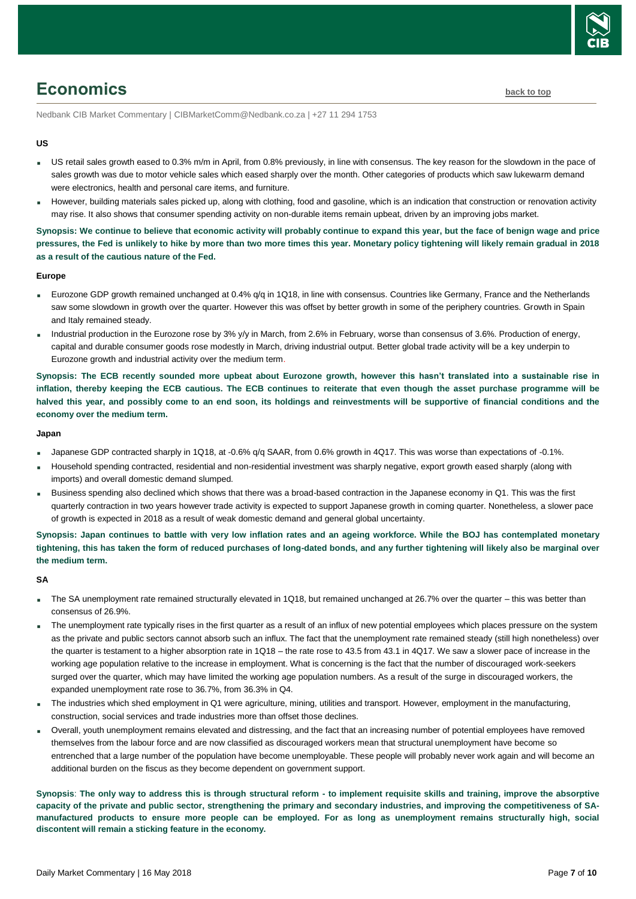

# <span id="page-6-0"></span>**Economics [back to top](#page-0-0)**

Nedbank CIB Market Commentary | CIBMarketComm@Nedbank.co.za | +27 11 294 1753

#### **US**

- US retail sales growth eased to 0.3% m/m in April, from 0.8% previously, in line with consensus. The key reason for the slowdown in the pace of sales growth was due to motor vehicle sales which eased sharply over the month. Other categories of products which saw lukewarm demand were electronics, health and personal care items, and furniture.
- However, building materials sales picked up, along with clothing, food and gasoline, which is an indication that construction or renovation activity may rise. It also shows that consumer spending activity on non-durable items remain upbeat, driven by an improving jobs market.

**Synopsis: We continue to believe that economic activity will probably continue to expand this year, but the face of benign wage and price pressures, the Fed is unlikely to hike by more than two more times this year. Monetary policy tightening will likely remain gradual in 2018 as a result of the cautious nature of the Fed.**

#### **Europe**

- Eurozone GDP growth remained unchanged at 0.4% q/q in 1Q18, in line with consensus. Countries like Germany, France and the Netherlands saw some slowdown in growth over the quarter. However this was offset by better growth in some of the periphery countries. Growth in Spain and Italy remained steady.
- Industrial production in the Eurozone rose by 3% y/y in March, from 2.6% in February, worse than consensus of 3.6%. Production of energy, capital and durable consumer goods rose modestly in March, driving industrial output. Better global trade activity will be a key underpin to Eurozone growth and industrial activity over the medium term.

**Synopsis: The ECB recently sounded more upbeat about Eurozone growth, however this hasn't translated into a sustainable rise in inflation, thereby keeping the ECB cautious. The ECB continues to reiterate that even though the asset purchase programme will be halved this year, and possibly come to an end soon, its holdings and reinvestments will be supportive of financial conditions and the economy over the medium term.**

#### **Japan**

- Japanese GDP contracted sharply in 1Q18, at -0.6% q/q SAAR, from 0.6% growth in 4Q17. This was worse than expectations of -0.1%.
- Household spending contracted, residential and non-residential investment was sharply negative, export growth eased sharply (along with imports) and overall domestic demand slumped.
- Business spending also declined which shows that there was a broad-based contraction in the Japanese economy in Q1. This was the first quarterly contraction in two years however trade activity is expected to support Japanese growth in coming quarter. Nonetheless, a slower pace of growth is expected in 2018 as a result of weak domestic demand and general global uncertainty.

**Synopsis: Japan continues to battle with very low inflation rates and an ageing workforce. While the BOJ has contemplated monetary tightening, this has taken the form of reduced purchases of long-dated bonds, and any further tightening will likely also be marginal over the medium term.**

#### **SA**

- The SA unemployment rate remained structurally elevated in 1Q18, but remained unchanged at 26.7% over the quarter this was better than consensus of 26.9%.
- The unemployment rate typically rises in the first quarter as a result of an influx of new potential employees which places pressure on the system as the private and public sectors cannot absorb such an influx. The fact that the unemployment rate remained steady (still high nonetheless) over the quarter is testament to a higher absorption rate in 1Q18 – the rate rose to 43.5 from 43.1 in 4Q17. We saw a slower pace of increase in the working age population relative to the increase in employment. What is concerning is the fact that the number of discouraged work-seekers surged over the quarter, which may have limited the working age population numbers. As a result of the surge in discouraged workers, the expanded unemployment rate rose to 36.7%, from 36.3% in Q4.
- The industries which shed employment in Q1 were agriculture, mining, utilities and transport. However, employment in the manufacturing, construction, social services and trade industries more than offset those declines.
- Overall, youth unemployment remains elevated and distressing, and the fact that an increasing number of potential employees have removed themselves from the labour force and are now classified as discouraged workers mean that structural unemployment have become so entrenched that a large number of the population have become unemployable. These people will probably never work again and will become an additional burden on the fiscus as they become dependent on government support.

**Synopsis**: **The only way to address this is through structural reform - to implement requisite skills and training, improve the absorptive capacity of the private and public sector, strengthening the primary and secondary industries, and improving the competitiveness of SAmanufactured products to ensure more people can be employed. For as long as unemployment remains structurally high, social discontent will remain a sticking feature in the economy.**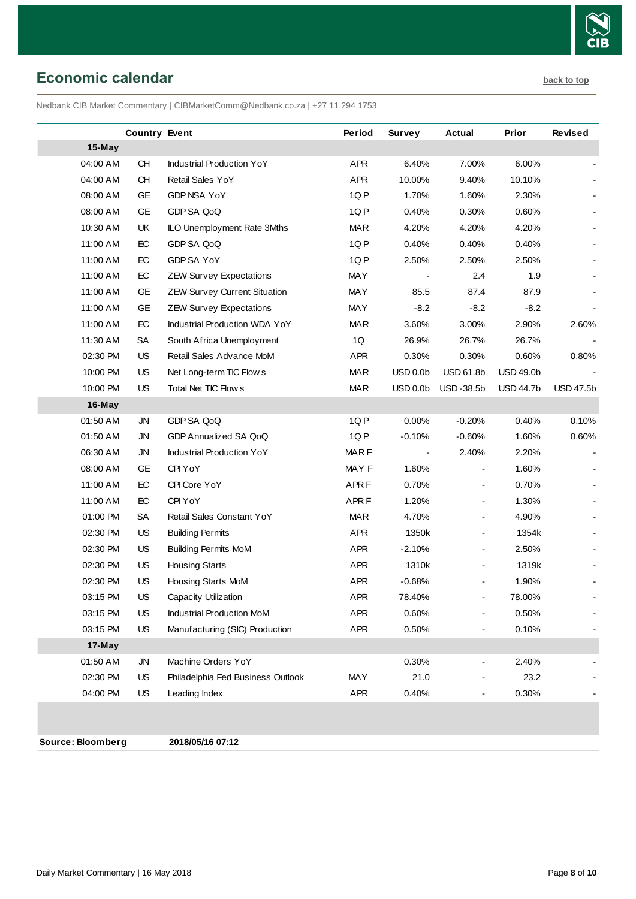

## <span id="page-7-0"></span>**Economic calendar [back to top](#page-0-0)**

Nedbank CIB Market Commentary | CIBMarketComm@Nedbank.co.za | +27 11 294 1753

|          | <b>Country Event</b> |                                      | Period           | Survey               | <b>Actual</b>            | Prior            | <b>Revised</b>   |
|----------|----------------------|--------------------------------------|------------------|----------------------|--------------------------|------------------|------------------|
| 15-May   |                      |                                      |                  |                      |                          |                  |                  |
| 04:00 AM | <b>CH</b>            | Industrial Production YoY            | APR              | 6.40%                | 7.00%                    | 6.00%            |                  |
| 04:00 AM | <b>CH</b>            | Retail Sales YoY                     | APR              | 10.00%               | 9.40%                    | 10.10%           |                  |
| 08:00 AM | GE                   | GDP NSA YoY                          | 1QP              | 1.70%                | 1.60%                    | 2.30%            |                  |
| 08:00 AM | GE                   | GDP SA QoQ                           | 1QP              | 0.40%                | 0.30%                    | 0.60%            |                  |
| 10:30 AM | UK                   | ILO Unemployment Rate 3Mths          | <b>MAR</b>       | 4.20%                | 4.20%                    | 4.20%            |                  |
| 11:00 AM | EC                   | GDP SA QoQ                           | 1QP              | 0.40%                | 0.40%                    | 0.40%            |                  |
| 11:00 AM | EC                   | GDP SA YoY                           | 1QP              | 2.50%                | 2.50%                    | 2.50%            |                  |
| 11:00 AM | EC                   | <b>ZEW Survey Expectations</b>       | <b>MAY</b>       |                      | 2.4                      | 1.9              |                  |
| 11:00 AM | GE                   | <b>ZEW Survey Current Situation</b>  | MAY              | 85.5                 | 87.4                     | 87.9             |                  |
| 11:00 AM | GE                   | <b>ZEW Survey Expectations</b>       | <b>MAY</b>       | $-8.2$               | $-8.2$                   | $-8.2$           |                  |
| 11:00 AM | EC                   | <b>Industrial Production WDA YoY</b> | <b>MAR</b>       | 3.60%                | 3.00%                    | 2.90%            | 2.60%            |
| 11:30 AM | <b>SA</b>            | South Africa Unemployment            | 1Q               | 26.9%                | 26.7%                    | 26.7%            |                  |
| 02:30 PM | US                   | Retail Sales Advance MoM             | APR              | 0.30%                | 0.30%                    | 0.60%            | 0.80%            |
| 10:00 PM | US                   | Net Long-term TIC Flow s             | <b>MAR</b>       | USD 0.0 <sub>b</sub> | <b>USD 61.8b</b>         | <b>USD 49.0b</b> |                  |
| 10:00 PM | US                   | Total Net TIC Flow s                 | <b>MAR</b>       | USD 0.0 <sub>b</sub> | USD-38.5b                | <b>USD 44.7b</b> | <b>USD 47.5b</b> |
| $16-May$ |                      |                                      |                  |                      |                          |                  |                  |
| 01:50 AM | <b>JN</b>            | GDP SA QoQ                           | 1QP              | 0.00%                | $-0.20%$                 | 0.40%            | 0.10%            |
| 01:50 AM | <b>JN</b>            | GDP Annualized SA QoQ                | 1QP              | $-0.10%$             | $-0.60%$                 | 1.60%            | 0.60%            |
| 06:30 AM | <b>JN</b>            | <b>Industrial Production YoY</b>     | <b>MARF</b>      |                      | 2.40%                    | 2.20%            |                  |
| 08:00 AM | GЕ                   | CPI YoY                              | MAY F            | 1.60%                | $\overline{\phantom{a}}$ | 1.60%            |                  |
| 11:00 AM | EC                   | CPI Core YoY                         | APR <sub>F</sub> | 0.70%                |                          | 0.70%            |                  |
| 11:00 AM | EC                   | CPI YoY                              | APR <sub>F</sub> | 1.20%                | $\blacksquare$           | 1.30%            |                  |
| 01:00 PM | <b>SA</b>            | Retail Sales Constant YoY            | <b>MAR</b>       | 4.70%                | $\overline{\phantom{0}}$ | 4.90%            |                  |
| 02:30 PM | <b>US</b>            | <b>Building Permits</b>              | APR              | 1350k                | $\blacksquare$           | 1354k            |                  |
| 02:30 PM | US                   | <b>Building Permits MoM</b>          | APR              | $-2.10%$             | $\overline{\phantom{0}}$ | 2.50%            |                  |
| 02:30 PM | US                   | <b>Housing Starts</b>                | APR              | 1310k                | $\blacksquare$           | 1319k            |                  |
| 02:30 PM | US                   | Housing Starts MoM                   | <b>APR</b>       | $-0.68%$             | $\overline{\phantom{0}}$ | 1.90%            |                  |
| 03:15 PM | US                   | Capacity Utilization                 | APR              | 78.40%               |                          | 78.00%           |                  |
| 03:15 PM | US                   | <b>Industrial Production MoM</b>     | APR              | 0.60%                | $\blacksquare$           | 0.50%            |                  |
| 03:15 PM | US                   | Manufacturing (SIC) Production       | APR              | 0.50%                | $\overline{\phantom{a}}$ | 0.10%            |                  |
| 17-May   |                      |                                      |                  |                      |                          |                  |                  |
| 01:50 AM | JN                   | Machine Orders YoY                   |                  | 0.30%                | -                        | 2.40%            |                  |
| 02:30 PM | US                   | Philadelphia Fed Business Outlook    | MAY              | 21.0                 |                          | 23.2             |                  |
| 04:00 PM | US                   | Leading Index                        | APR              | 0.40%                | $\overline{\phantom{0}}$ | 0.30%            |                  |
|          |                      |                                      |                  |                      |                          |                  |                  |
|          |                      |                                      |                  |                      |                          |                  |                  |

**Source: Bloomberg 2018/05/16 07:12**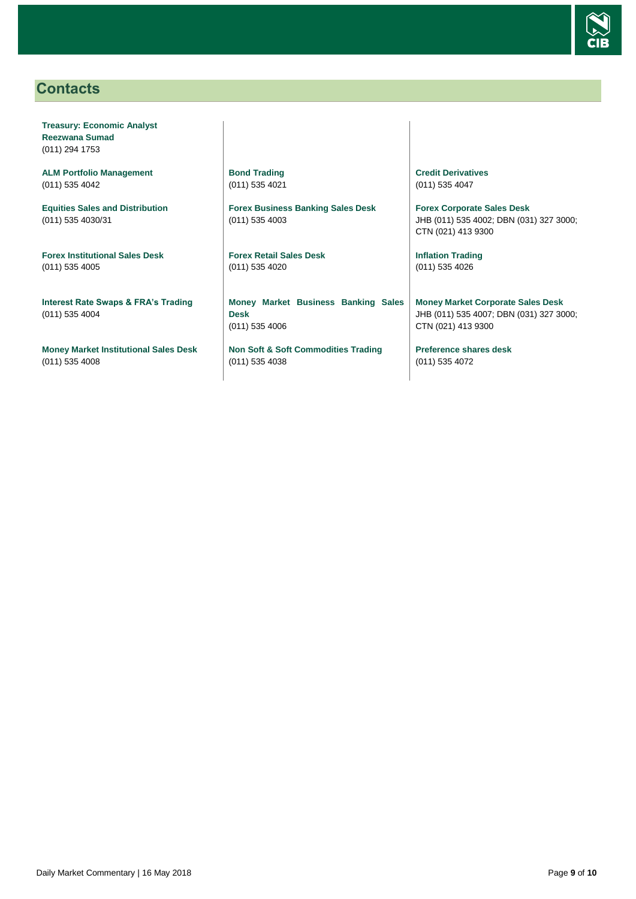

# <span id="page-8-0"></span>**Contacts**

**Treasury: Economic Analyst Reezwana Sumad** (011) 294 1753

**ALM Portfolio Management** (011) 535 4042

**Equities Sales and Distribution** (011) 535 4030/31

**Forex Institutional Sales Desk** (011) 535 4005

**Interest Rate Swaps & FRA's Trading** (011) 535 4004

**Money Market Institutional Sales Desk** (011) 535 4008

**Bond Trading** (011) 535 4021

**Forex Business Banking Sales Desk** (011) 535 4003

**Forex Retail Sales Desk** (011) 535 4020

**Money Market Business Banking Sales Desk** (011) 535 4006

**Non Soft & Soft Commodities Trading** (011) 535 4038

**Credit Derivatives**  (011) 535 4047

**Forex Corporate Sales Desk** JHB (011) 535 4002; DBN (031) 327 3000; CTN (021) 413 9300

**Inflation Trading** (011) 535 4026

**Money Market Corporate Sales Desk** JHB (011) 535 4007; DBN (031) 327 3000; CTN (021) 413 9300

**Preference shares desk** (011) 535 4072